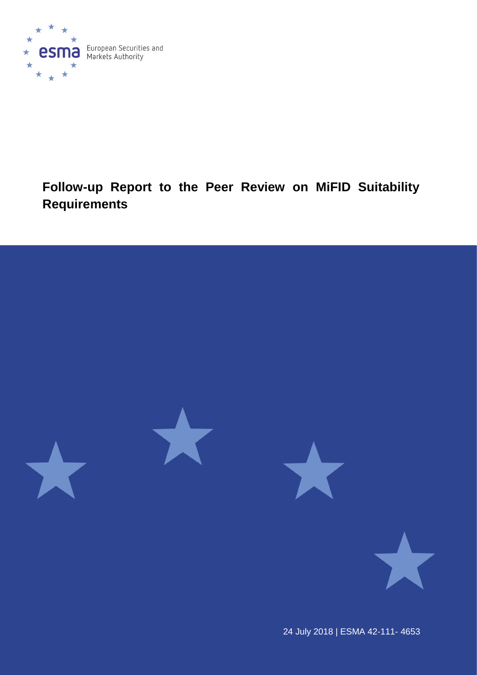

# **Follow-up Report to the Peer Review on MiFID Suitability Requirements**



24 July 2018 | ESMA 42-111- 4653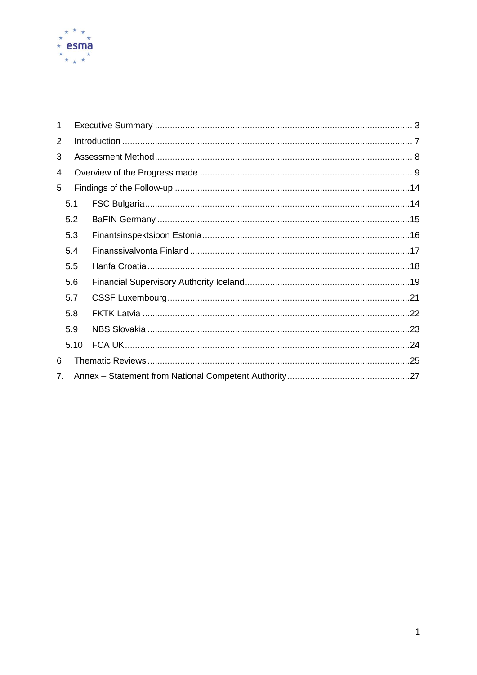

| 1 |      |  |  |  |
|---|------|--|--|--|
| 2 |      |  |  |  |
| 3 |      |  |  |  |
| 4 |      |  |  |  |
| 5 |      |  |  |  |
|   | 5.1  |  |  |  |
|   | 5.2  |  |  |  |
|   | 5.3  |  |  |  |
|   | 5.4  |  |  |  |
|   | 5.5  |  |  |  |
|   | 5.6  |  |  |  |
|   | 5.7  |  |  |  |
|   | 5.8  |  |  |  |
|   | 5.9  |  |  |  |
|   | 5.10 |  |  |  |
| 6 |      |  |  |  |
|   | 7.   |  |  |  |
|   |      |  |  |  |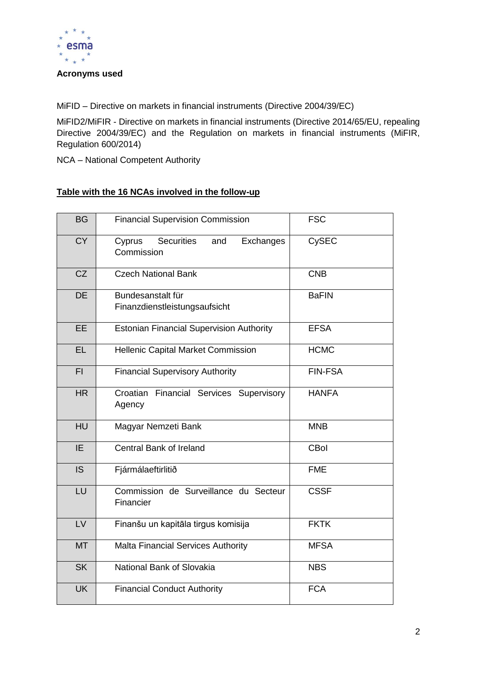

#### **Acronyms used**

MiFID – Directive on markets in financial instruments (Directive 2004/39/EC)

MiFID2/MiFIR - Directive on markets in financial instruments (Directive 2014/65/EU, repealing Directive 2004/39/EC) and the Regulation on markets in financial instruments (MiFIR, Regulation 600/2014)

NCA – National Competent Authority

### **Table with the 16 NCAs involved in the follow-up**

| <b>BG</b> | <b>Financial Supervision Commission</b>                | <b>FSC</b>     |
|-----------|--------------------------------------------------------|----------------|
| <b>CY</b> | Securities<br>Cyprus<br>and<br>Exchanges<br>Commission | <b>CySEC</b>   |
| CZ        | <b>Czech National Bank</b>                             | <b>CNB</b>     |
| <b>DE</b> | Bundesanstalt für<br>Finanzdienstleistungsaufsicht     | <b>BaFIN</b>   |
| <b>EE</b> | <b>Estonian Financial Supervision Authority</b>        | <b>EFSA</b>    |
| <b>EL</b> | Hellenic Capital Market Commission                     | <b>HCMC</b>    |
| FI.       | <b>Financial Supervisory Authority</b>                 | <b>FIN-FSA</b> |
| HR        | Croatian Financial Services Supervisory<br>Agency      | <b>HANFA</b>   |
| <b>HU</b> | Magyar Nemzeti Bank                                    | <b>MNB</b>     |
| IE.       | <b>Central Bank of Ireland</b>                         | <b>CBol</b>    |
| IS        | Fjármálaeftirlitið                                     | <b>FME</b>     |
| LU        | Commission de Surveillance du Secteur<br>Financier     | <b>CSSF</b>    |
| LV        | Finanšu un kapitāla tirgus komisija                    | <b>FKTK</b>    |
| <b>MT</b> | <b>Malta Financial Services Authority</b>              | <b>MFSA</b>    |
| <b>SK</b> | National Bank of Slovakia                              | <b>NBS</b>     |
| <b>UK</b> | <b>Financial Conduct Authority</b>                     | <b>FCA</b>     |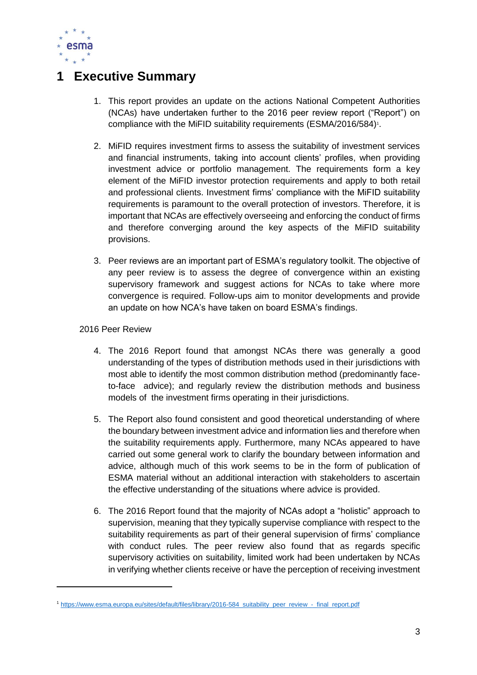

# <span id="page-3-0"></span>**1 Executive Summary**

- 1. This report provides an update on the actions National Competent Authorities (NCAs) have undertaken further to the 2016 peer review report ("Report") on compliance with the MiFID suitability requirements (ESMA/2016/584)<sup>1</sup>.
- 2. MiFID requires investment firms to assess the suitability of investment services and financial instruments, taking into account clients' profiles, when providing investment advice or portfolio management. The requirements form a key element of the MiFID investor protection requirements and apply to both retail and professional clients. Investment firms' compliance with the MiFID suitability requirements is paramount to the overall protection of investors. Therefore, it is important that NCAs are effectively overseeing and enforcing the conduct of firms and therefore converging around the key aspects of the MiFID suitability provisions.
- 3. Peer reviews are an important part of ESMA's regulatory toolkit. The objective of any peer review is to assess the degree of convergence within an existing supervisory framework and suggest actions for NCAs to take where more convergence is required. Follow-ups aim to monitor developments and provide an update on how NCA's have taken on board ESMA's findings.

### 2016 Peer Review

-

- 4. The 2016 Report found that amongst NCAs there was generally a good understanding of the types of distribution methods used in their jurisdictions with most able to identify the most common distribution method (predominantly faceto-face advice); and regularly review the distribution methods and business models of the investment firms operating in their jurisdictions.
- 5. The Report also found consistent and good theoretical understanding of where the boundary between investment advice and information lies and therefore when the suitability requirements apply. Furthermore, many NCAs appeared to have carried out some general work to clarify the boundary between information and advice, although much of this work seems to be in the form of publication of ESMA material without an additional interaction with stakeholders to ascertain the effective understanding of the situations where advice is provided.
- 6. The 2016 Report found that the majority of NCAs adopt a "holistic" approach to supervision, meaning that they typically supervise compliance with respect to the suitability requirements as part of their general supervision of firms' compliance with conduct rules. The peer review also found that as regards specific supervisory activities on suitability, limited work had been undertaken by NCAs in verifying whether clients receive or have the perception of receiving investment

<sup>1</sup> [https://www.esma.europa.eu/sites/default/files/library/2016-584\\_suitability\\_peer\\_review\\_-\\_final\\_report.pdf](https://www.esma.europa.eu/sites/default/files/library/2016-584_suitability_peer_review_-_final_report.pdf)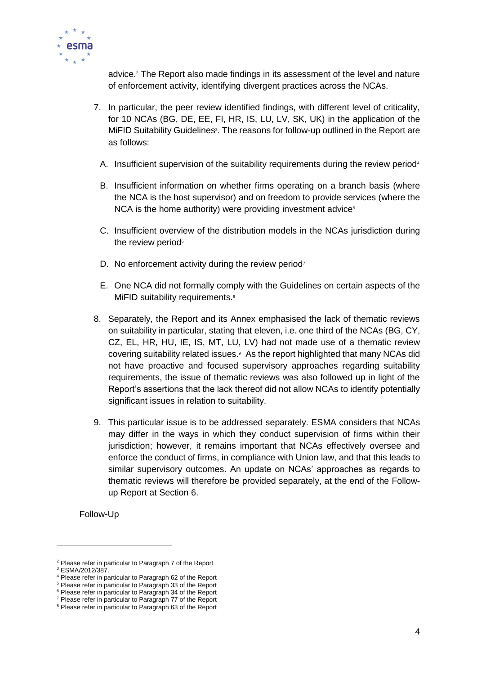

advice. <sup>2</sup> The Report also made findings in its assessment of the level and nature of enforcement activity, identifying divergent practices across the NCAs.

- 7. In particular, the peer review identified findings, with different level of criticality, for 10 NCAs (BG, DE, EE, FI, HR, IS, LU, LV, SK, UK) in the application of the MiFID Suitability Guidelines<sup>3</sup>. The reasons for follow-up outlined in the Report are as follows:
	- A. Insufficient supervision of the suitability requirements during the review period<sup>4</sup>
	- B. Insufficient information on whether firms operating on a branch basis (where the NCA is the host supervisor) and on freedom to provide services (where the  $NCA$  is the home authority) were providing investment advice<sup>5</sup>
	- C. Insufficient overview of the distribution models in the NCAs jurisdiction during the review period $6$
	- D. No enforcement activity during the review period<sup>7</sup>
	- E. One NCA did not formally comply with the Guidelines on certain aspects of the MiFID suitability requirements.<sup>8</sup>
- 8. Separately, the Report and its Annex emphasised the lack of thematic reviews on suitability in particular, stating that eleven, i.e. one third of the NCAs (BG, CY, CZ, EL, HR, HU, IE, IS, MT, LU, LV) had not made use of a thematic review covering suitability related issues.<sup>9</sup> As the report highlighted that many NCAs did not have proactive and focused supervisory approaches regarding suitability requirements, the issue of thematic reviews was also followed up in light of the Report's assertions that the lack thereof did not allow NCAs to identify potentially significant issues in relation to suitability.
- 9. This particular issue is to be addressed separately. ESMA considers that NCAs may differ in the ways in which they conduct supervision of firms within their jurisdiction; however, it remains important that NCAs effectively oversee and enforce the conduct of firms, in compliance with Union law, and that this leads to similar supervisory outcomes. An update on NCAs' approaches as regards to thematic reviews will therefore be provided separately, at the end of the Followup Report at Section 6.

Follow-Up

-

<sup>2</sup> Please refer in particular to Paragraph 7 of the Report

<sup>3</sup> ESMA/2012/387.

<sup>4</sup> Please refer in particular to Paragraph 62 of the Report <sup>5</sup> Please refer in particular to Paragraph 33 of the Report

<sup>&</sup>lt;sup>6</sup> Please refer in particular to Paragraph 34 of the Report

<sup>7</sup> Please refer in particular to Paragraph 77 of the Report

<sup>8</sup> Please refer in particular to Paragraph 63 of the Report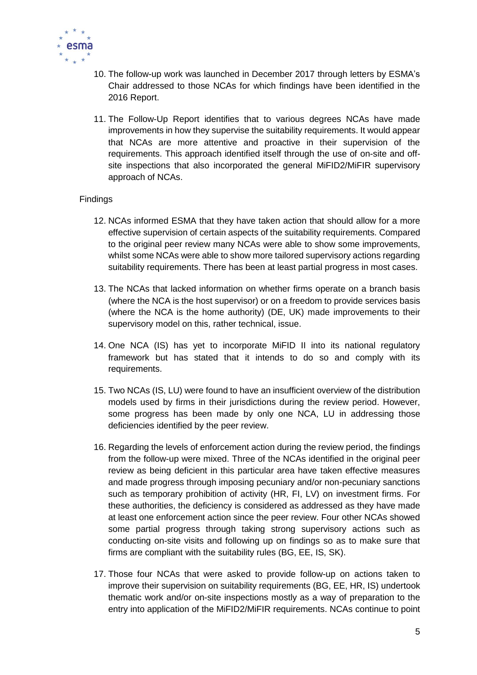

- 10. The follow-up work was launched in December 2017 through letters by ESMA's Chair addressed to those NCAs for which findings have been identified in the 2016 Report.
- 11. The Follow-Up Report identifies that to various degrees NCAs have made improvements in how they supervise the suitability requirements. It would appear that NCAs are more attentive and proactive in their supervision of the requirements. This approach identified itself through the use of on-site and offsite inspections that also incorporated the general MiFID2/MiFIR supervisory approach of NCAs.

### Findings

- 12. NCAs informed ESMA that they have taken action that should allow for a more effective supervision of certain aspects of the suitability requirements. Compared to the original peer review many NCAs were able to show some improvements, whilst some NCAs were able to show more tailored supervisory actions regarding suitability requirements. There has been at least partial progress in most cases.
- 13. The NCAs that lacked information on whether firms operate on a branch basis (where the NCA is the host supervisor) or on a freedom to provide services basis (where the NCA is the home authority) (DE, UK) made improvements to their supervisory model on this, rather technical, issue.
- 14. One NCA (IS) has yet to incorporate MiFID II into its national regulatory framework but has stated that it intends to do so and comply with its requirements.
- 15. Two NCAs (IS, LU) were found to have an insufficient overview of the distribution models used by firms in their jurisdictions during the review period. However, some progress has been made by only one NCA, LU in addressing those deficiencies identified by the peer review.
- 16. Regarding the levels of enforcement action during the review period, the findings from the follow-up were mixed. Three of the NCAs identified in the original peer review as being deficient in this particular area have taken effective measures and made progress through imposing pecuniary and/or non-pecuniary sanctions such as temporary prohibition of activity (HR, FI, LV) on investment firms. For these authorities, the deficiency is considered as addressed as they have made at least one enforcement action since the peer review. Four other NCAs showed some partial progress through taking strong supervisory actions such as conducting on-site visits and following up on findings so as to make sure that firms are compliant with the suitability rules (BG, EE, IS, SK).
- 17. Those four NCAs that were asked to provide follow-up on actions taken to improve their supervision on suitability requirements (BG, EE, HR, IS) undertook thematic work and/or on-site inspections mostly as a way of preparation to the entry into application of the MiFID2/MiFIR requirements. NCAs continue to point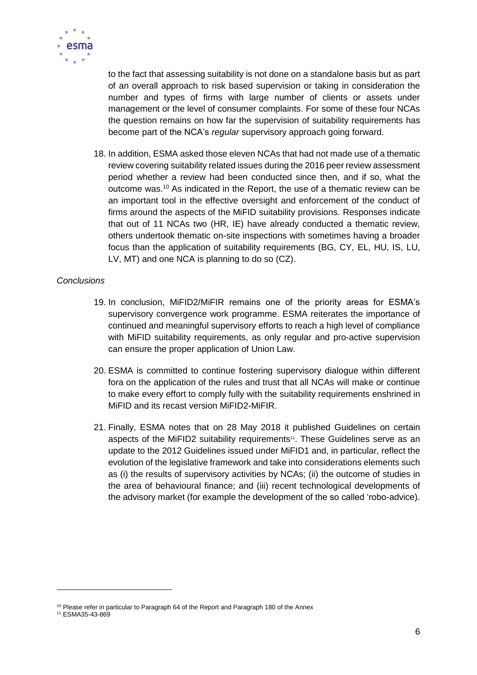

to the fact that assessing suitability is not done on a standalone basis but as part of an overall approach to risk based supervision or taking in consideration the number and types of firms with large number of clients or assets under management or the level of consumer complaints. For some of these four NCAs the question remains on how far the supervision of suitability requirements has become part of the NCA's *regular* supervisory approach going forward.

18. In addition, ESMA asked those eleven NCAs that had not made use of a thematic review covering suitability related issues during the 2016 peer review assessment period whether a review had been conducted since then, and if so, what the outcome was.<sup>10</sup> As indicated in the Report, the use of a thematic review can be an important tool in the effective oversight and enforcement of the conduct of firms around the aspects of the MiFID suitability provisions. Responses indicate that out of 11 NCAs two (HR, IE) have already conducted a thematic review, others undertook thematic on-site inspections with sometimes having a broader focus than the application of suitability requirements (BG, CY, EL, HU, IS, LU, LV, MT) and one NCA is planning to do so (CZ).

## *Conclusions*

- 19. In conclusion, MiFID2/MiFIR remains one of the priority areas for ESMA's supervisory convergence work programme. ESMA reiterates the importance of continued and meaningful supervisory efforts to reach a high level of compliance with MiFID suitability requirements, as only regular and pro-active supervision can ensure the proper application of Union Law.
- 20. ESMA is committed to continue fostering supervisory dialogue within different fora on the application of the rules and trust that all NCAs will make or continue to make every effort to comply fully with the suitability requirements enshrined in MiFID and its recast version MiFID2-MiFIR.
- 21. Finally, ESMA notes that on 28 May 2018 it published Guidelines on certain aspects of the MiFID2 suitability requirements<sup>11</sup>. These Guidelines serve as an update to the 2012 Guidelines issued under MiFID1 and, in particular, reflect the evolution of the legislative framework and take into considerations elements such as (i) the results of supervisory activities by NCAs; (ii) the outcome of studies in the area of behavioural finance; and (iii) recent technological developments of the advisory market (for example the development of the so called 'robo-advice).

-

<sup>&</sup>lt;sup>10</sup> Please refer in particular to Paragraph 64 of the Report and Paragraph 180 of the Annex

<sup>11</sup> ESMA35-43-869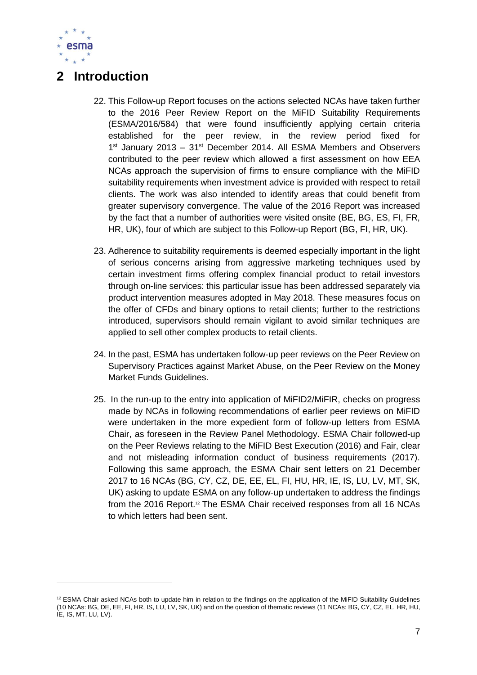

1

# <span id="page-7-0"></span>**2 Introduction**

- 22. This Follow-up Report focuses on the actions selected NCAs have taken further to the 2016 Peer Review Report on the MiFID Suitability Requirements (ESMA/2016/584) that were found insufficiently applying certain criteria established for the peer review, in the review period fixed for 1<sup>st</sup> January 2013 – 31<sup>st</sup> December 2014. All ESMA Members and Observers contributed to the peer review which allowed a first assessment on how EEA NCAs approach the supervision of firms to ensure compliance with the MiFID suitability requirements when investment advice is provided with respect to retail clients. The work was also intended to identify areas that could benefit from greater supervisory convergence. The value of the 2016 Report was increased by the fact that a number of authorities were visited onsite (BE, BG, ES, FI, FR, HR, UK), four of which are subject to this Follow-up Report (BG, FI, HR, UK).
- 23. Adherence to suitability requirements is deemed especially important in the light of serious concerns arising from aggressive marketing techniques used by certain investment firms offering complex financial product to retail investors through on-line services: this particular issue has been addressed separately via product intervention measures adopted in May 2018. These measures focus on the offer of CFDs and binary options to retail clients; further to the restrictions introduced, supervisors should remain vigilant to avoid similar techniques are applied to sell other complex products to retail clients.
- 24. In the past, ESMA has undertaken follow-up peer reviews on the Peer Review on Supervisory Practices against Market Abuse, on the Peer Review on the Money Market Funds Guidelines.
- 25. In the run-up to the entry into application of MiFID2/MiFIR, checks on progress made by NCAs in following recommendations of earlier peer reviews on MiFID were undertaken in the more expedient form of follow-up letters from ESMA Chair, as foreseen in the Review Panel Methodology. ESMA Chair followed-up on the Peer Reviews relating to the MiFID Best Execution (2016) and Fair, clear and not misleading information conduct of business requirements (2017). Following this same approach, the ESMA Chair sent letters on 21 December 2017 to 16 NCAs (BG, CY, CZ, DE, EE, EL, FI, HU, HR, IE, IS, LU, LV, MT, SK, UK) asking to update ESMA on any follow-up undertaken to address the findings from the 2016 Report.<sup>12</sup> The ESMA Chair received responses from all 16 NCAs to which letters had been sent.

<sup>&</sup>lt;sup>12</sup> ESMA Chair asked NCAs both to update him in relation to the findings on the application of the MiFID Suitability Guidelines (10 NCAs: BG, DE, EE, FI, HR, IS, LU, LV, SK, UK) and on the question of thematic reviews (11 NCAs: BG, CY, CZ, EL, HR, HU, IE, IS, MT, LU, LV).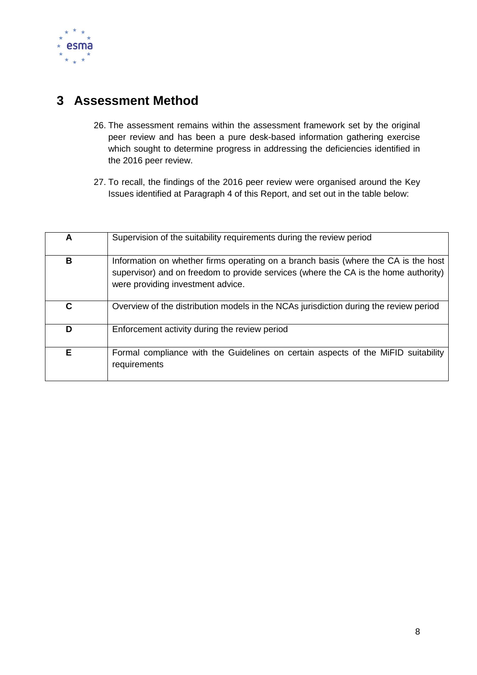

# <span id="page-8-0"></span>**3 Assessment Method**

- 26. The assessment remains within the assessment framework set by the original peer review and has been a pure desk-based information gathering exercise which sought to determine progress in addressing the deficiencies identified in the 2016 peer review.
- 27. To recall, the findings of the 2016 peer review were organised around the Key Issues identified at Paragraph 4 of this Report, and set out in the table below:

| A | Supervision of the suitability requirements during the review period                                                                                                                                           |  |
|---|----------------------------------------------------------------------------------------------------------------------------------------------------------------------------------------------------------------|--|
| B | Information on whether firms operating on a branch basis (where the CA is the host<br>supervisor) and on freedom to provide services (where the CA is the home authority)<br>were providing investment advice. |  |
| С | Overview of the distribution models in the NCAs jurisdiction during the review period                                                                                                                          |  |
| D | Enforcement activity during the review period                                                                                                                                                                  |  |
| Е | Formal compliance with the Guidelines on certain aspects of the MiFID suitability<br>requirements                                                                                                              |  |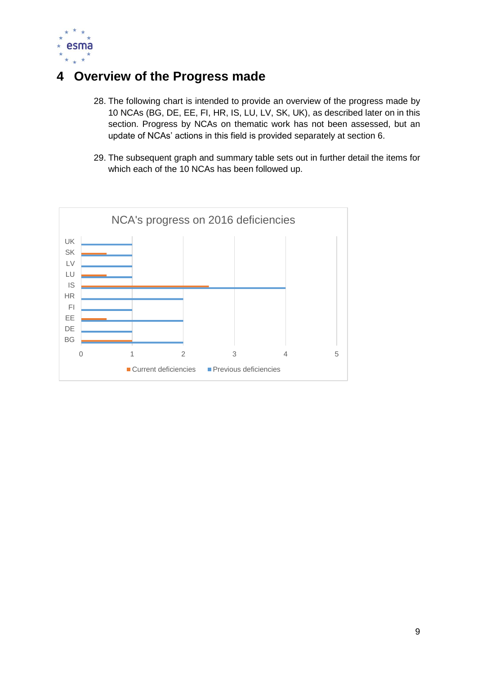

# <span id="page-9-0"></span>**4 Overview of the Progress made**

- 28. The following chart is intended to provide an overview of the progress made by 10 NCAs (BG, DE, EE, FI, HR, IS, LU, LV, SK, UK), as described later on in this section. Progress by NCAs on thematic work has not been assessed, but an update of NCAs' actions in this field is provided separately at section 6.
- 29. The subsequent graph and summary table sets out in further detail the items for which each of the 10 NCAs has been followed up.

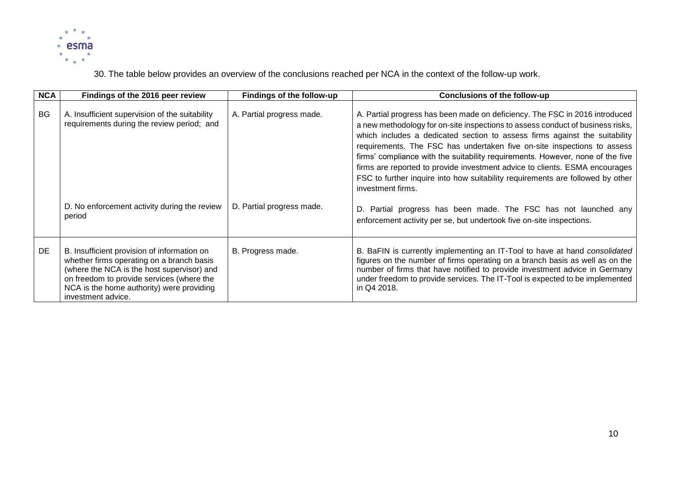

30. The table below provides an overview of the conclusions reached per NCA in the context of the follow-up work.

| <b>NCA</b> | Findings of the 2016 peer review                                                                                                                                                                                                                       | Findings of the follow-up | <b>Conclusions of the follow-up</b>                                                                                                                                                                                                                                                                                                                                                                                                                                                                                                                                                            |
|------------|--------------------------------------------------------------------------------------------------------------------------------------------------------------------------------------------------------------------------------------------------------|---------------------------|------------------------------------------------------------------------------------------------------------------------------------------------------------------------------------------------------------------------------------------------------------------------------------------------------------------------------------------------------------------------------------------------------------------------------------------------------------------------------------------------------------------------------------------------------------------------------------------------|
| <b>BG</b>  | A. Insufficient supervision of the suitability<br>requirements during the review period; and                                                                                                                                                           | A. Partial progress made. | A. Partial progress has been made on deficiency. The FSC in 2016 introduced<br>a new methodology for on-site inspections to assess conduct of business risks,<br>which includes a dedicated section to assess firms against the suitability<br>requirements. The FSC has undertaken five on-site inspections to assess<br>firms' compliance with the suitability requirements. However, none of the five<br>firms are reported to provide investment advice to clients. ESMA encourages<br>FSC to further inquire into how suitability requirements are followed by other<br>investment firms. |
|            | D. No enforcement activity during the review<br>period                                                                                                                                                                                                 | D. Partial progress made. | D. Partial progress has been made. The FSC has not launched any<br>enforcement activity per se, but undertook five on-site inspections.                                                                                                                                                                                                                                                                                                                                                                                                                                                        |
| DE         | B. Insufficient provision of information on<br>whether firms operating on a branch basis<br>(where the NCA is the host supervisor) and<br>on freedom to provide services (where the<br>NCA is the home authority) were providing<br>investment advice. | B. Progress made.         | B. BaFIN is currently implementing an IT-Tool to have at hand consolidated<br>figures on the number of firms operating on a branch basis as well as on the<br>number of firms that have notified to provide investment advice in Germany<br>under freedom to provide services. The IT-Tool is expected to be implemented<br>in Q4 2018.                                                                                                                                                                                                                                                        |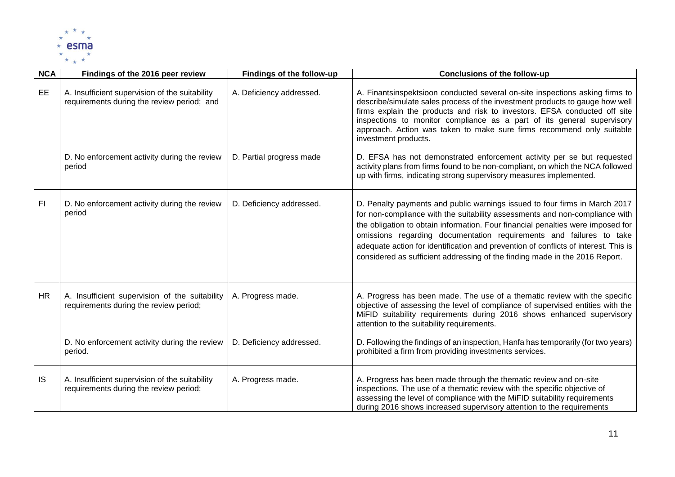

| <b>NCA</b> | Findings of the 2016 peer review                                                                                                                       | Findings of the follow-up                            | <b>Conclusions of the follow-up</b>                                                                                                                                                                                                                                                                                                                                                                                                                                                                                                                                                                                                                    |
|------------|--------------------------------------------------------------------------------------------------------------------------------------------------------|------------------------------------------------------|--------------------------------------------------------------------------------------------------------------------------------------------------------------------------------------------------------------------------------------------------------------------------------------------------------------------------------------------------------------------------------------------------------------------------------------------------------------------------------------------------------------------------------------------------------------------------------------------------------------------------------------------------------|
| <b>EE</b>  | A. Insufficient supervision of the suitability<br>requirements during the review period; and<br>D. No enforcement activity during the review<br>period | A. Deficiency addressed.<br>D. Partial progress made | A. Finantsinspektsioon conducted several on-site inspections asking firms to<br>describe/simulate sales process of the investment products to gauge how well<br>firms explain the products and risk to investors. EFSA conducted off site<br>inspections to monitor compliance as a part of its general supervisory<br>approach. Action was taken to make sure firms recommend only suitable<br>investment products.<br>D. EFSA has not demonstrated enforcement activity per se but requested<br>activity plans from firms found to be non-compliant, on which the NCA followed<br>up with firms, indicating strong supervisory measures implemented. |
|            |                                                                                                                                                        |                                                      |                                                                                                                                                                                                                                                                                                                                                                                                                                                                                                                                                                                                                                                        |
| FI         | D. No enforcement activity during the review<br>period                                                                                                 | D. Deficiency addressed.                             | D. Penalty payments and public warnings issued to four firms in March 2017<br>for non-compliance with the suitability assessments and non-compliance with<br>the obligation to obtain information. Four financial penalties were imposed for<br>omissions regarding documentation requirements and failures to take<br>adequate action for identification and prevention of conflicts of interest. This is<br>considered as sufficient addressing of the finding made in the 2016 Report.                                                                                                                                                              |
| HR         | A. Insufficient supervision of the suitability<br>requirements during the review period;                                                               | A. Progress made.                                    | A. Progress has been made. The use of a thematic review with the specific<br>objective of assessing the level of compliance of supervised entities with the<br>MiFID suitability requirements during 2016 shows enhanced supervisory<br>attention to the suitability requirements.                                                                                                                                                                                                                                                                                                                                                                     |
|            | D. No enforcement activity during the review<br>period.                                                                                                | D. Deficiency addressed.                             | D. Following the findings of an inspection, Hanfa has temporarily (for two years)<br>prohibited a firm from providing investments services.                                                                                                                                                                                                                                                                                                                                                                                                                                                                                                            |
| <b>IS</b>  | A. Insufficient supervision of the suitability<br>requirements during the review period;                                                               | A. Progress made.                                    | A. Progress has been made through the thematic review and on-site<br>inspections. The use of a thematic review with the specific objective of<br>assessing the level of compliance with the MiFID suitability requirements<br>during 2016 shows increased supervisory attention to the requirements                                                                                                                                                                                                                                                                                                                                                    |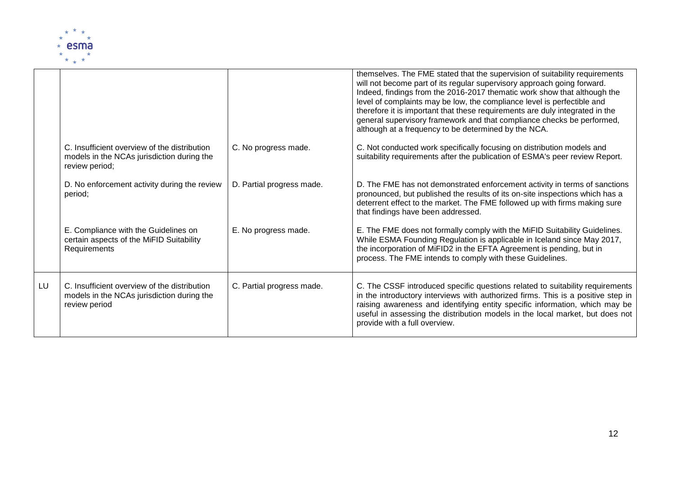

|    |                                                                                                              |                           | themselves. The FME stated that the supervision of suitability requirements<br>will not become part of its regular supervisory approach going forward.<br>Indeed, findings from the 2016-2017 thematic work show that although the<br>level of complaints may be low, the compliance level is perfectible and<br>therefore it is important that these requirements are duly integrated in the<br>general supervisory framework and that compliance checks be performed,<br>although at a frequency to be determined by the NCA. |
|----|--------------------------------------------------------------------------------------------------------------|---------------------------|---------------------------------------------------------------------------------------------------------------------------------------------------------------------------------------------------------------------------------------------------------------------------------------------------------------------------------------------------------------------------------------------------------------------------------------------------------------------------------------------------------------------------------|
|    | C. Insufficient overview of the distribution<br>models in the NCAs jurisdiction during the<br>review period; | C. No progress made.      | C. Not conducted work specifically focusing on distribution models and<br>suitability requirements after the publication of ESMA's peer review Report.                                                                                                                                                                                                                                                                                                                                                                          |
|    | D. No enforcement activity during the review<br>period;                                                      | D. Partial progress made. | D. The FME has not demonstrated enforcement activity in terms of sanctions<br>pronounced, but published the results of its on-site inspections which has a<br>deterrent effect to the market. The FME followed up with firms making sure<br>that findings have been addressed.                                                                                                                                                                                                                                                  |
|    | E. Compliance with the Guidelines on<br>certain aspects of the MiFID Suitability<br>Requirements             | E. No progress made.      | E. The FME does not formally comply with the MiFID Suitability Guidelines.<br>While ESMA Founding Regulation is applicable in Iceland since May 2017,<br>the incorporation of MiFID2 in the EFTA Agreement is pending, but in<br>process. The FME intends to comply with these Guidelines.                                                                                                                                                                                                                                      |
| LU | C. Insufficient overview of the distribution<br>models in the NCAs jurisdiction during the<br>review period  | C. Partial progress made. | C. The CSSF introduced specific questions related to suitability requirements<br>in the introductory interviews with authorized firms. This is a positive step in<br>raising awareness and identifying entity specific information, which may be<br>useful in assessing the distribution models in the local market, but does not<br>provide with a full overview.                                                                                                                                                              |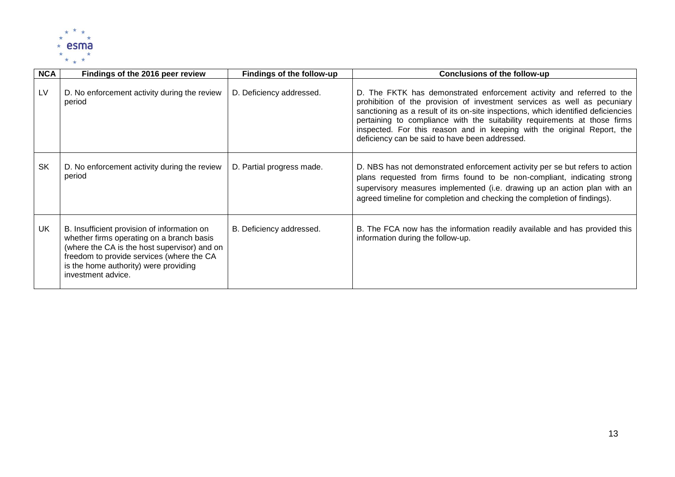

| <b>NCA</b> | Findings of the 2016 peer review                                                                                                                                                                                                                     | Findings of the follow-up | <b>Conclusions of the follow-up</b>                                                                                                                                                                                                                                                                                                                                                                                                              |
|------------|------------------------------------------------------------------------------------------------------------------------------------------------------------------------------------------------------------------------------------------------------|---------------------------|--------------------------------------------------------------------------------------------------------------------------------------------------------------------------------------------------------------------------------------------------------------------------------------------------------------------------------------------------------------------------------------------------------------------------------------------------|
| LV         | D. No enforcement activity during the review<br>period                                                                                                                                                                                               | D. Deficiency addressed.  | D. The FKTK has demonstrated enforcement activity and referred to the<br>prohibition of the provision of investment services as well as pecuniary<br>sanctioning as a result of its on-site inspections, which identified deficiencies<br>pertaining to compliance with the suitability requirements at those firms<br>inspected. For this reason and in keeping with the original Report, the<br>deficiency can be said to have been addressed. |
| <b>SK</b>  | D. No enforcement activity during the review<br>period                                                                                                                                                                                               | D. Partial progress made. | D. NBS has not demonstrated enforcement activity per se but refers to action<br>plans requested from firms found to be non-compliant, indicating strong<br>supervisory measures implemented (i.e. drawing up an action plan with an<br>agreed timeline for completion and checking the completion of findings).                                                                                                                                  |
| UK         | B. Insufficient provision of information on<br>whether firms operating on a branch basis<br>(where the CA is the host supervisor) and on<br>freedom to provide services (where the CA<br>is the home authority) were providing<br>investment advice. | B. Deficiency addressed.  | B. The FCA now has the information readily available and has provided this<br>information during the follow-up.                                                                                                                                                                                                                                                                                                                                  |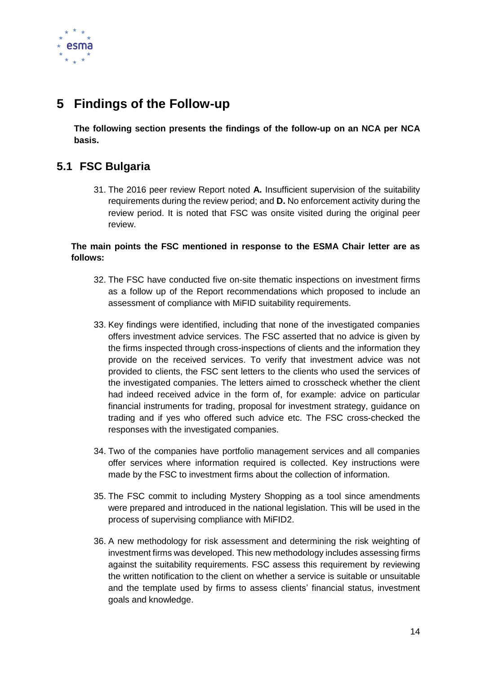

# <span id="page-14-0"></span>**5 Findings of the Follow-up**

**The following section presents the findings of the follow-up on an NCA per NCA basis.**

# <span id="page-14-1"></span>**5.1 FSC Bulgaria**

31. The 2016 peer review Report noted **A.** Insufficient supervision of the suitability requirements during the review period; and **D.** No enforcement activity during the review period. It is noted that FSC was onsite visited during the original peer review.

## **The main points the FSC mentioned in response to the ESMA Chair letter are as follows:**

- 32. The FSC have conducted five on-site thematic inspections on investment firms as a follow up of the Report recommendations which proposed to include an assessment of compliance with MiFID suitability requirements.
- 33. Key findings were identified, including that none of the investigated companies offers investment advice services. The FSC asserted that no advice is given by the firms inspected through cross-inspections of clients and the information they provide on the received services. To verify that investment advice was not provided to clients, the FSC sent letters to the clients who used the services of the investigated companies. The letters aimed to crosscheck whether the client had indeed received advice in the form of, for example: advice on particular financial instruments for trading, proposal for investment strategy, guidance on trading and if yes who offered such advice etc. The FSC cross-checked the responses with the investigated companies.
- 34. Two of the companies have portfolio management services and all companies offer services where information required is collected. Key instructions were made by the FSC to investment firms about the collection of information.
- 35. The FSC commit to including Mystery Shopping as a tool since amendments were prepared and introduced in the national legislation. This will be used in the process of supervising compliance with MiFID2.
- 36. A new methodology for risk assessment and determining the risk weighting of investment firms was developed. This new methodology includes assessing firms against the suitability requirements. FSC assess this requirement by reviewing the written notification to the client on whether a service is suitable or unsuitable and the template used by firms to assess clients' financial status, investment goals and knowledge.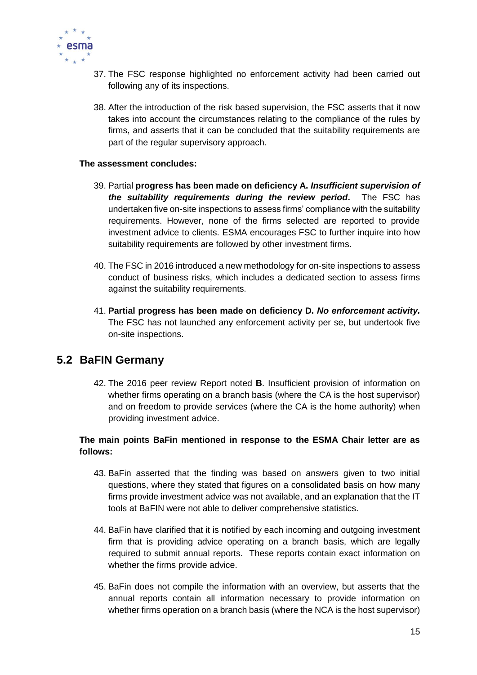

- 37. The FSC response highlighted no enforcement activity had been carried out following any of its inspections.
- 38. After the introduction of the risk based supervision, the FSC asserts that it now takes into account the circumstances relating to the compliance of the rules by firms, and asserts that it can be concluded that the suitability requirements are part of the regular supervisory approach.

#### **The assessment concludes:**

- 39. Partial **progress has been made on deficiency A.** *Insufficient supervision of the suitability requirements during the review period***.** The FSC has undertaken five on-site inspections to assess firms' compliance with the suitability requirements. However, none of the firms selected are reported to provide investment advice to clients. ESMA encourages FSC to further inquire into how suitability requirements are followed by other investment firms.
- 40. The FSC in 2016 introduced a new methodology for on-site inspections to assess conduct of business risks, which includes a dedicated section to assess firms against the suitability requirements.
- 41. **Partial progress has been made on deficiency D.** *No enforcement activity.* The FSC has not launched any enforcement activity per se, but undertook five on-site inspections.

## <span id="page-15-0"></span>**5.2 BaFIN Germany**

42. The 2016 peer review Report noted **B**. Insufficient provision of information on whether firms operating on a branch basis (where the CA is the host supervisor) and on freedom to provide services (where the CA is the home authority) when providing investment advice.

## **The main points BaFin mentioned in response to the ESMA Chair letter are as follows:**

- 43. BaFin asserted that the finding was based on answers given to two initial questions, where they stated that figures on a consolidated basis on how many firms provide investment advice was not available, and an explanation that the IT tools at BaFIN were not able to deliver comprehensive statistics.
- 44. BaFin have clarified that it is notified by each incoming and outgoing investment firm that is providing advice operating on a branch basis, which are legally required to submit annual reports. These reports contain exact information on whether the firms provide advice.
- 45. BaFin does not compile the information with an overview, but asserts that the annual reports contain all information necessary to provide information on whether firms operation on a branch basis (where the NCA is the host supervisor)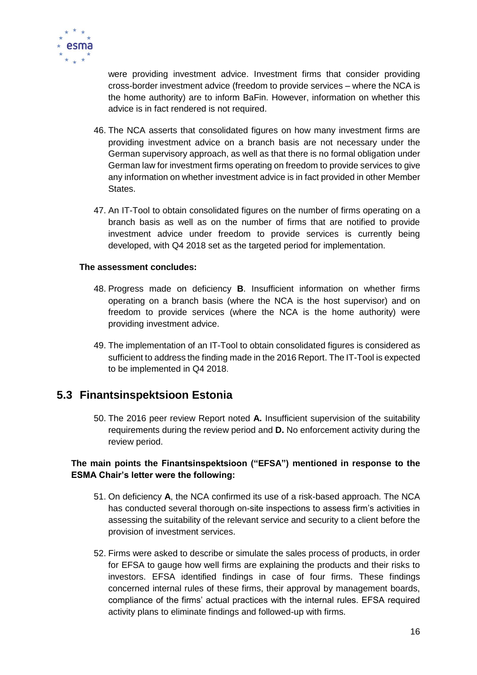

were providing investment advice. Investment firms that consider providing cross-border investment advice (freedom to provide services – where the NCA is the home authority) are to inform BaFin. However, information on whether this advice is in fact rendered is not required.

- 46. The NCA asserts that consolidated figures on how many investment firms are providing investment advice on a branch basis are not necessary under the German supervisory approach, as well as that there is no formal obligation under German law for investment firms operating on freedom to provide services to give any information on whether investment advice is in fact provided in other Member States.
- 47. An IT-Tool to obtain consolidated figures on the number of firms operating on a branch basis as well as on the number of firms that are notified to provide investment advice under freedom to provide services is currently being developed, with Q4 2018 set as the targeted period for implementation.

#### **The assessment concludes:**

- 48. Progress made on deficiency **B**. Insufficient information on whether firms operating on a branch basis (where the NCA is the host supervisor) and on freedom to provide services (where the NCA is the home authority) were providing investment advice.
- 49. The implementation of an IT-Tool to obtain consolidated figures is considered as sufficient to address the finding made in the 2016 Report. The IT-Tool is expected to be implemented in Q4 2018.

## <span id="page-16-0"></span>**5.3 Finantsinspektsioon Estonia**

50. The 2016 peer review Report noted **A.** Insufficient supervision of the suitability requirements during the review period and **D.** No enforcement activity during the review period.

## **The main points the Finantsinspektsioon ("EFSA") mentioned in response to the ESMA Chair's letter were the following:**

- 51. On deficiency **A**, the NCA confirmed its use of a risk-based approach. The NCA has conducted several thorough on-site inspections to assess firm's activities in assessing the suitability of the relevant service and security to a client before the provision of investment services.
- 52. Firms were asked to describe or simulate the sales process of products, in order for EFSA to gauge how well firms are explaining the products and their risks to investors. EFSA identified findings in case of four firms. These findings concerned internal rules of these firms, their approval by management boards, compliance of the firms' actual practices with the internal rules. EFSA required activity plans to eliminate findings and followed-up with firms.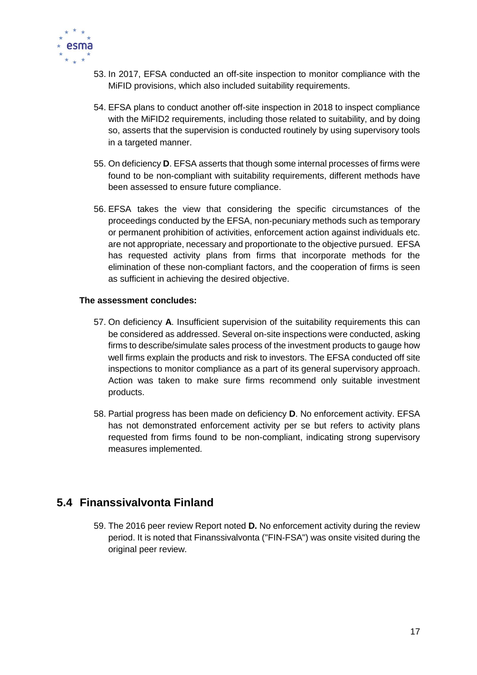

- 53. In 2017, EFSA conducted an off-site inspection to monitor compliance with the MiFID provisions, which also included suitability requirements.
- 54. EFSA plans to conduct another off-site inspection in 2018 to inspect compliance with the MiFID2 requirements, including those related to suitability, and by doing so, asserts that the supervision is conducted routinely by using supervisory tools in a targeted manner.
- 55. On deficiency **D**. EFSA asserts that though some internal processes of firms were found to be non-compliant with suitability requirements, different methods have been assessed to ensure future compliance.
- 56. EFSA takes the view that considering the specific circumstances of the proceedings conducted by the EFSA, non-pecuniary methods such as temporary or permanent prohibition of activities, enforcement action against individuals etc. are not appropriate, necessary and proportionate to the objective pursued. EFSA has requested activity plans from firms that incorporate methods for the elimination of these non-compliant factors, and the cooperation of firms is seen as sufficient in achieving the desired objective.

#### **The assessment concludes:**

- 57. On deficiency **A**. Insufficient supervision of the suitability requirements this can be considered as addressed. Several on-site inspections were conducted, asking firms to describe/simulate sales process of the investment products to gauge how well firms explain the products and risk to investors. The EFSA conducted off site inspections to monitor compliance as a part of its general supervisory approach. Action was taken to make sure firms recommend only suitable investment products.
- 58. Partial progress has been made on deficiency **D**. No enforcement activity. EFSA has not demonstrated enforcement activity per se but refers to activity plans requested from firms found to be non-compliant, indicating strong supervisory measures implemented.

# <span id="page-17-0"></span>**5.4 Finanssivalvonta Finland**

59. The 2016 peer review Report noted **D.** No enforcement activity during the review period. It is noted that Finanssivalvonta ("FIN-FSA") was onsite visited during the original peer review.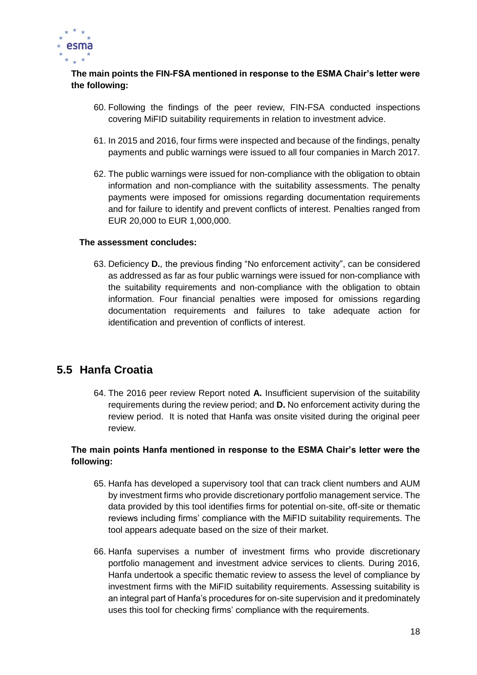

## **The main points the FIN-FSA mentioned in response to the ESMA Chair's letter were the following:**

- 60. Following the findings of the peer review, FIN-FSA conducted inspections covering MiFID suitability requirements in relation to investment advice.
- 61. In 2015 and 2016, four firms were inspected and because of the findings, penalty payments and public warnings were issued to all four companies in March 2017.
- 62. The public warnings were issued for non-compliance with the obligation to obtain information and non-compliance with the suitability assessments. The penalty payments were imposed for omissions regarding documentation requirements and for failure to identify and prevent conflicts of interest. Penalties ranged from EUR 20,000 to EUR 1,000,000.

#### **The assessment concludes:**

63. Deficiency **D***.,* the previous finding "No enforcement activity", can be considered as addressed as far as four public warnings were issued for non-compliance with the suitability requirements and non-compliance with the obligation to obtain information. Four financial penalties were imposed for omissions regarding documentation requirements and failures to take adequate action for identification and prevention of conflicts of interest.

# <span id="page-18-0"></span>**5.5 Hanfa Croatia**

64. The 2016 peer review Report noted **A.** Insufficient supervision of the suitability requirements during the review period; and **D.** No enforcement activity during the review period. It is noted that Hanfa was onsite visited during the original peer review.

### **The main points Hanfa mentioned in response to the ESMA Chair's letter were the following:**

- 65. Hanfa has developed a supervisory tool that can track client numbers and AUM by investment firms who provide discretionary portfolio management service. The data provided by this tool identifies firms for potential on-site, off-site or thematic reviews including firms' compliance with the MiFID suitability requirements. The tool appears adequate based on the size of their market.
- 66. Hanfa supervises a number of investment firms who provide discretionary portfolio management and investment advice services to clients. During 2016, Hanfa undertook a specific thematic review to assess the level of compliance by investment firms with the MiFID suitability requirements. Assessing suitability is an integral part of Hanfa's procedures for on-site supervision and it predominately uses this tool for checking firms' compliance with the requirements.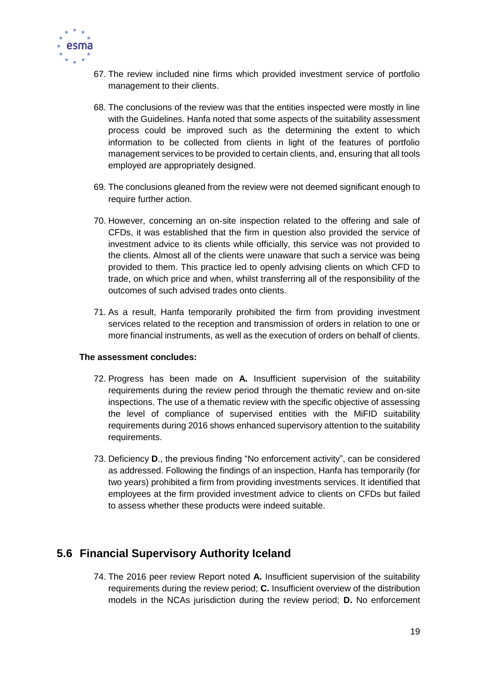

- 67. The review included nine firms which provided investment service of portfolio management to their clients.
- 68. The conclusions of the review was that the entities inspected were mostly in line with the Guidelines. Hanfa noted that some aspects of the suitability assessment process could be improved such as the determining the extent to which information to be collected from clients in light of the features of portfolio management services to be provided to certain clients, and, ensuring that all tools employed are appropriately designed.
- 69. The conclusions gleaned from the review were not deemed significant enough to require further action.
- 70. However, concerning an on-site inspection related to the offering and sale of CFDs, it was established that the firm in question also provided the service of investment advice to its clients while officially, this service was not provided to the clients. Almost all of the clients were unaware that such a service was being provided to them. This practice led to openly advising clients on which CFD to trade, on which price and when, whilst transferring all of the responsibility of the outcomes of such advised trades onto clients.
- 71. As a result, Hanfa temporarily prohibited the firm from providing investment services related to the reception and transmission of orders in relation to one or more financial instruments, as well as the execution of orders on behalf of clients.

#### **The assessment concludes:**

- 72. Progress has been made on **A.** Insufficient supervision of the suitability requirements during the review period through the thematic review and on-site inspections. The use of a thematic review with the specific objective of assessing the level of compliance of supervised entities with the MiFID suitability requirements during 2016 shows enhanced supervisory attention to the suitability requirements.
- 73. Deficiency **D**., the previous finding "No enforcement activity", can be considered as addressed. Following the findings of an inspection, Hanfa has temporarily (for two years) prohibited a firm from providing investments services. It identified that employees at the firm provided investment advice to clients on CFDs but failed to assess whether these products were indeed suitable.

## <span id="page-19-0"></span>**5.6 Financial Supervisory Authority Iceland**

74. The 2016 peer review Report noted **A.** Insufficient supervision of the suitability requirements during the review period; **C.** Insufficient overview of the distribution models in the NCAs jurisdiction during the review period; **D.** No enforcement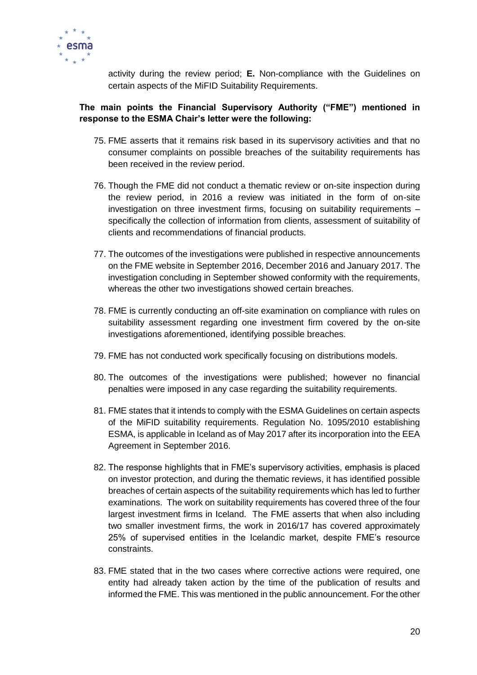

activity during the review period; **E.** Non-compliance with the Guidelines on certain aspects of the MiFID Suitability Requirements.

## **The main points the Financial Supervisory Authority ("FME") mentioned in response to the ESMA Chair's letter were the following:**

- 75. FME asserts that it remains risk based in its supervisory activities and that no consumer complaints on possible breaches of the suitability requirements has been received in the review period.
- 76. Though the FME did not conduct a thematic review or on-site inspection during the review period, in 2016 a review was initiated in the form of on-site investigation on three investment firms, focusing on suitability requirements – specifically the collection of information from clients, assessment of suitability of clients and recommendations of financial products.
- 77. The outcomes of the investigations were published in respective announcements on the FME website in September 2016, December 2016 and January 2017. The investigation concluding in September showed conformity with the requirements, whereas the other two investigations showed certain breaches.
- 78. FME is currently conducting an off-site examination on compliance with rules on suitability assessment regarding one investment firm covered by the on-site investigations aforementioned, identifying possible breaches.
- 79. FME has not conducted work specifically focusing on distributions models.
- 80. The outcomes of the investigations were published; however no financial penalties were imposed in any case regarding the suitability requirements.
- 81. FME states that it intends to comply with the ESMA Guidelines on certain aspects of the MiFID suitability requirements. Regulation No. 1095/2010 establishing ESMA, is applicable in Iceland as of May 2017 after its incorporation into the EEA Agreement in September 2016.
- 82. The response highlights that in FME's supervisory activities, emphasis is placed on investor protection, and during the thematic reviews, it has identified possible breaches of certain aspects of the suitability requirements which has led to further examinations. The work on suitability requirements has covered three of the four largest investment firms in Iceland. The FME asserts that when also including two smaller investment firms, the work in 2016/17 has covered approximately 25% of supervised entities in the Icelandic market, despite FME's resource constraints.
- 83. FME stated that in the two cases where corrective actions were required, one entity had already taken action by the time of the publication of results and informed the FME. This was mentioned in the public announcement. For the other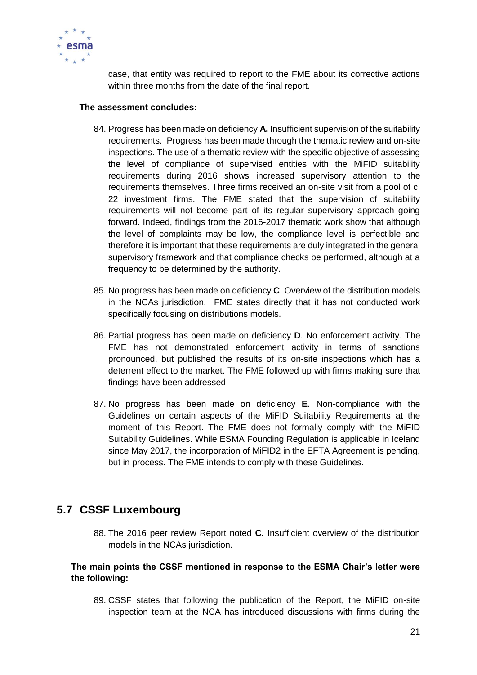

case, that entity was required to report to the FME about its corrective actions within three months from the date of the final report.

#### **The assessment concludes:**

- 84. Progress has been made on deficiency **A.** Insufficient supervision of the suitability requirements. Progress has been made through the thematic review and on-site inspections. The use of a thematic review with the specific objective of assessing the level of compliance of supervised entities with the MiFID suitability requirements during 2016 shows increased supervisory attention to the requirements themselves. Three firms received an on-site visit from a pool of c. 22 investment firms. The FME stated that the supervision of suitability requirements will not become part of its regular supervisory approach going forward. Indeed, findings from the 2016-2017 thematic work show that although the level of complaints may be low, the compliance level is perfectible and therefore it is important that these requirements are duly integrated in the general supervisory framework and that compliance checks be performed, although at a frequency to be determined by the authority.
- 85. No progress has been made on deficiency **C**. Overview of the distribution models in the NCAs jurisdiction. FME states directly that it has not conducted work specifically focusing on distributions models.
- 86. Partial progress has been made on deficiency **D**. No enforcement activity. The FME has not demonstrated enforcement activity in terms of sanctions pronounced, but published the results of its on-site inspections which has a deterrent effect to the market. The FME followed up with firms making sure that findings have been addressed.
- 87. No progress has been made on deficiency **E**. Non-compliance with the Guidelines on certain aspects of the MiFID Suitability Requirements at the moment of this Report. The FME does not formally comply with the MiFID Suitability Guidelines. While ESMA Founding Regulation is applicable in Iceland since May 2017, the incorporation of MiFID2 in the EFTA Agreement is pending, but in process. The FME intends to comply with these Guidelines.

# <span id="page-21-0"></span>**5.7 CSSF Luxembourg**

88. The 2016 peer review Report noted **C.** Insufficient overview of the distribution models in the NCAs jurisdiction.

### **The main points the CSSF mentioned in response to the ESMA Chair's letter were the following:**

89. CSSF states that following the publication of the Report, the MiFID on-site inspection team at the NCA has introduced discussions with firms during the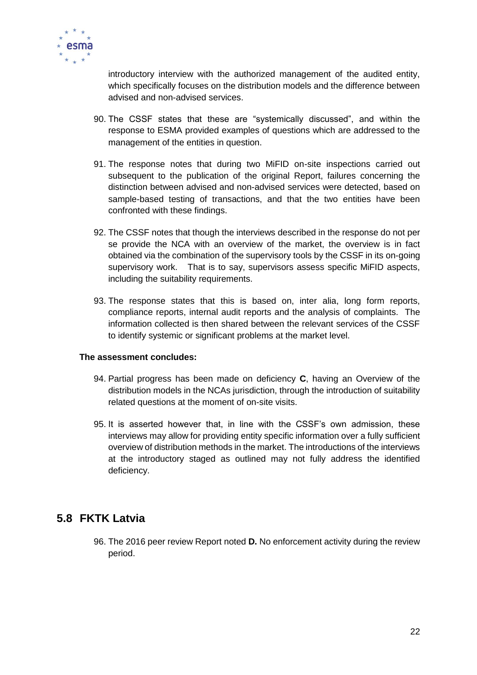

introductory interview with the authorized management of the audited entity, which specifically focuses on the distribution models and the difference between advised and non-advised services.

- 90. The CSSF states that these are "systemically discussed", and within the response to ESMA provided examples of questions which are addressed to the management of the entities in question.
- 91. The response notes that during two MiFID on-site inspections carried out subsequent to the publication of the original Report, failures concerning the distinction between advised and non-advised services were detected, based on sample-based testing of transactions, and that the two entities have been confronted with these findings.
- 92. The CSSF notes that though the interviews described in the response do not per se provide the NCA with an overview of the market, the overview is in fact obtained via the combination of the supervisory tools by the CSSF in its on-going supervisory work. That is to say, supervisors assess specific MiFID aspects, including the suitability requirements.
- 93. The response states that this is based on, inter alia, long form reports, compliance reports, internal audit reports and the analysis of complaints. The information collected is then shared between the relevant services of the CSSF to identify systemic or significant problems at the market level.

#### **The assessment concludes:**

- 94. Partial progress has been made on deficiency **C**, having an Overview of the distribution models in the NCAs jurisdiction, through the introduction of suitability related questions at the moment of on-site visits.
- 95. It is asserted however that, in line with the CSSF's own admission, these interviews may allow for providing entity specific information over a fully sufficient overview of distribution methods in the market. The introductions of the interviews at the introductory staged as outlined may not fully address the identified deficiency.

# <span id="page-22-0"></span>**5.8 FKTK Latvia**

96. The 2016 peer review Report noted **D.** No enforcement activity during the review period.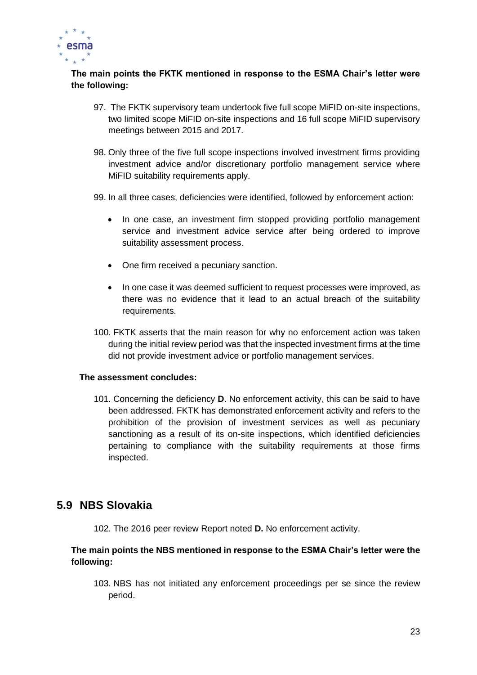

## **The main points the FKTK mentioned in response to the ESMA Chair's letter were the following:**

- 97. The FKTK supervisory team undertook five full scope MiFID on-site inspections, two limited scope MiFID on-site inspections and 16 full scope MiFID supervisory meetings between 2015 and 2017.
- 98. Only three of the five full scope inspections involved investment firms providing investment advice and/or discretionary portfolio management service where MiFID suitability requirements apply.
- 99. In all three cases, deficiencies were identified, followed by enforcement action:
	- In one case, an investment firm stopped providing portfolio management service and investment advice service after being ordered to improve suitability assessment process.
	- One firm received a pecuniary sanction.
	- In one case it was deemed sufficient to request processes were improved, as there was no evidence that it lead to an actual breach of the suitability requirements.
- 100. FKTK asserts that the main reason for why no enforcement action was taken during the initial review period was that the inspected investment firms at the time did not provide investment advice or portfolio management services.

#### **The assessment concludes:**

101. Concerning the deficiency **D**. No enforcement activity, this can be said to have been addressed. FKTK has demonstrated enforcement activity and refers to the prohibition of the provision of investment services as well as pecuniary sanctioning as a result of its on-site inspections, which identified deficiencies pertaining to compliance with the suitability requirements at those firms inspected.

## <span id="page-23-0"></span>**5.9 NBS Slovakia**

102. The 2016 peer review Report noted **D.** No enforcement activity.

### **The main points the NBS mentioned in response to the ESMA Chair's letter were the following:**

103. NBS has not initiated any enforcement proceedings per se since the review period.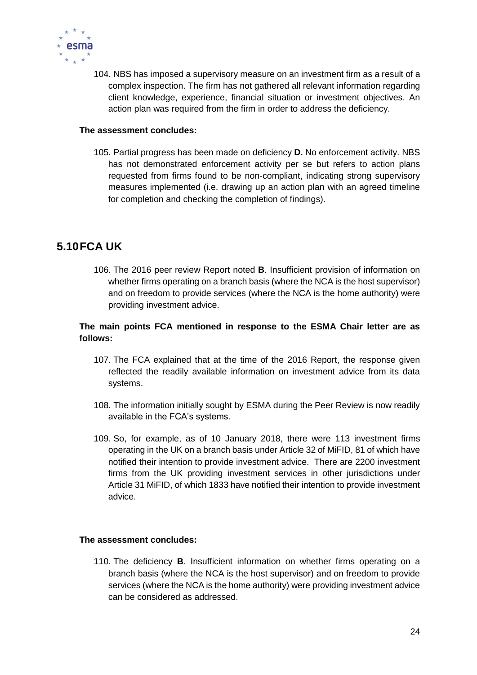

104. NBS has imposed a supervisory measure on an investment firm as a result of a complex inspection. The firm has not gathered all relevant information regarding client knowledge, experience, financial situation or investment objectives. An action plan was required from the firm in order to address the deficiency.

#### **The assessment concludes:**

105. Partial progress has been made on deficiency **D.** No enforcement activity. NBS has not demonstrated enforcement activity per se but refers to action plans requested from firms found to be non-compliant, indicating strong supervisory measures implemented (i.e. drawing up an action plan with an agreed timeline for completion and checking the completion of findings).

# <span id="page-24-0"></span>**5.10FCA UK**

106. The 2016 peer review Report noted **B**. Insufficient provision of information on whether firms operating on a branch basis (where the NCA is the host supervisor) and on freedom to provide services (where the NCA is the home authority) were providing investment advice.

## **The main points FCA mentioned in response to the ESMA Chair letter are as follows:**

- 107. The FCA explained that at the time of the 2016 Report, the response given reflected the readily available information on investment advice from its data systems.
- 108. The information initially sought by ESMA during the Peer Review is now readily available in the FCA's systems.
- 109. So, for example, as of 10 January 2018, there were 113 investment firms operating in the UK on a branch basis under Article 32 of MiFID, 81 of which have notified their intention to provide investment advice. There are 2200 investment firms from the UK providing investment services in other jurisdictions under Article 31 MiFID, of which 1833 have notified their intention to provide investment advice.

#### **The assessment concludes:**

110. The deficiency **B**. Insufficient information on whether firms operating on a branch basis (where the NCA is the host supervisor) and on freedom to provide services (where the NCA is the home authority) were providing investment advice can be considered as addressed.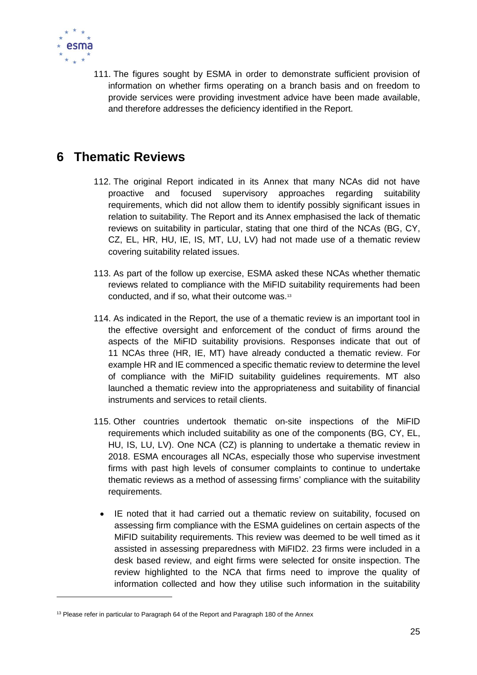

1

111. The figures sought by ESMA in order to demonstrate sufficient provision of information on whether firms operating on a branch basis and on freedom to provide services were providing investment advice have been made available, and therefore addresses the deficiency identified in the Report.

# <span id="page-25-0"></span>**6 Thematic Reviews**

- 112. The original Report indicated in its Annex that many NCAs did not have proactive and focused supervisory approaches regarding suitability requirements, which did not allow them to identify possibly significant issues in relation to suitability. The Report and its Annex emphasised the lack of thematic reviews on suitability in particular, stating that one third of the NCAs (BG, CY, CZ, EL, HR, HU, IE, IS, MT, LU, LV) had not made use of a thematic review covering suitability related issues.
- 113. As part of the follow up exercise, ESMA asked these NCAs whether thematic reviews related to compliance with the MiFID suitability requirements had been conducted, and if so, what their outcome was.<sup>13</sup>
- 114. As indicated in the Report, the use of a thematic review is an important tool in the effective oversight and enforcement of the conduct of firms around the aspects of the MiFID suitability provisions. Responses indicate that out of 11 NCAs three (HR, IE, MT) have already conducted a thematic review. For example HR and IE commenced a specific thematic review to determine the level of compliance with the MiFID suitability guidelines requirements. MT also launched a thematic review into the appropriateness and suitability of financial instruments and services to retail clients.
- 115. Other countries undertook thematic on-site inspections of the MiFID requirements which included suitability as one of the components (BG, CY, EL, HU, IS, LU, LV). One NCA (CZ) is planning to undertake a thematic review in 2018. ESMA encourages all NCAs, especially those who supervise investment firms with past high levels of consumer complaints to continue to undertake thematic reviews as a method of assessing firms' compliance with the suitability requirements.
	- IE noted that it had carried out a thematic review on suitability, focused on assessing firm compliance with the ESMA guidelines on certain aspects of the MiFID suitability requirements. This review was deemed to be well timed as it assisted in assessing preparedness with MiFID2. 23 firms were included in a desk based review, and eight firms were selected for onsite inspection. The review highlighted to the NCA that firms need to improve the quality of information collected and how they utilise such information in the suitability

<sup>&</sup>lt;sup>13</sup> Please refer in particular to Paragraph 64 of the Report and Paragraph 180 of the Annex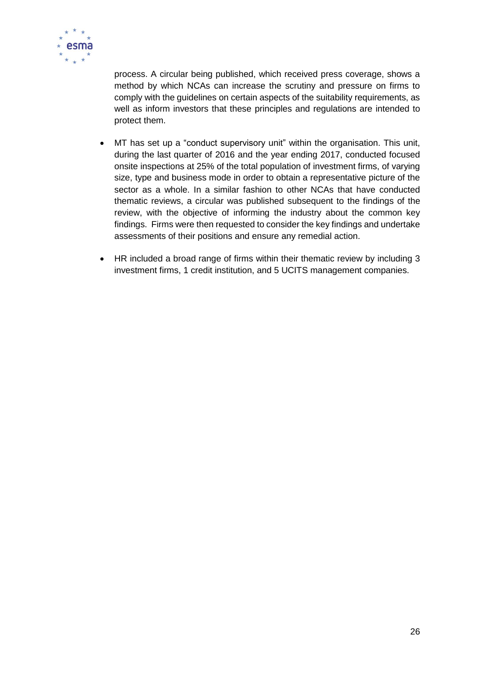

process. A circular being published, which received press coverage, shows a method by which NCAs can increase the scrutiny and pressure on firms to comply with the guidelines on certain aspects of the suitability requirements, as well as inform investors that these principles and regulations are intended to protect them.

- MT has set up a "conduct supervisory unit" within the organisation. This unit, during the last quarter of 2016 and the year ending 2017, conducted focused onsite inspections at 25% of the total population of investment firms, of varying size, type and business mode in order to obtain a representative picture of the sector as a whole. In a similar fashion to other NCAs that have conducted thematic reviews, a circular was published subsequent to the findings of the review, with the objective of informing the industry about the common key findings. Firms were then requested to consider the key findings and undertake assessments of their positions and ensure any remedial action.
- HR included a broad range of firms within their thematic review by including 3 investment firms, 1 credit institution, and 5 UCITS management companies.